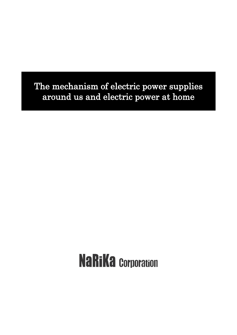The mechanism of electric power supplies around us and electric power at home

# **NaRiKa Corporation**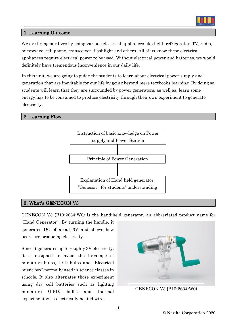

## 1. Learning Outcome

We are living our lives by using various electrical appliances like light, refrigerator, TV, radio, microwave, cell phone, transceiver, flashlight and others. All of us know these electrical appliances require electrical power to be used. Without electrical power and batteries, we would definitely have tremendous inconvenience in our daily life.

In this unit, we are going to guide the students to learn about electrical power supply and generation that are inevitable for our life by going beyond mere textbooks learning. By doing so, students will learn that they are surrounded by power generators, as well as, learn some energy has to be consumed to produce electricity through their own experiment to generate electricity.

#### 2. Learning Flow



#### 3. What's GENECON V3

GENECON V3 **(**B10-2634-W0) is the hand-held generator, an abbreviated product name for

"Hand Generator". By turning the handle, it generates DC of about 3V and shows how users are producing electricity.

Since it generates up to roughly 3V electricity, it is designed to avoid the breakage of miniature bulbs, LED bulbs and "Electrical music box" normally used in science classes in schools. It also alternates those experiment using dry cell batteries such as lighting miniature (LED) bulbs and thermal experiment with electrically heated wire.

GENECON V3 **(**B10-2634-W0)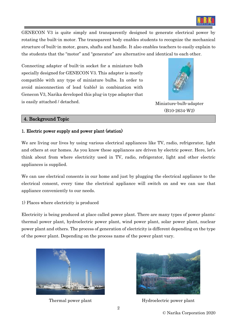

GENECON V3 is quite simply and transparently designed to generate electrical power by rotating the built-in motor. The transparent body enables students to recognize the mechanical structure of built-in motor, gears, shafts and handle. It also enables teachers to easily explain to the students that the "motor" and "generator" are alternative and identical to each other.

Connecting adapter of built-in socket for a miniature bulb specially designed for GENECON V3. This adapter is mostly compatible with any type of miniature bulbs. In order to avoid misconnection of lead (cable) in combination with Genecon V3, Narika developed this plug-in type adapter that is easily attached / detached.



Miniature-bulb-adapter (B10-2634-W2)

#### 4. Background Topic

#### 1. Electric power supply and power plant (station)

We are living our lives by using various electrical appliances like TV, radio, refrigerator, light and others at our homes. As you know these appliances are driven by electric power. Here, let's think about from where electricity used in TV, radio, refrigerator, light and other electric appliances is supplied.

We can use electrical consents in our home and just by plugging the electrical appliance to the electrical consent, every time the electrical appliance will switch on and we can use that appliance conveniently to our needs.

1) Places where electricity is produced

Electricity is being produced at place called power plant. There are many types of power plants: thermal power plant, hydroelectric power plant, wind power plant, solar power plant, nuclear power plant and others. The process of generation of electricity is different depending on the type of the power plant. Depending on the process name of the power plant vary.





Thermal power plant Hydroelectric power plant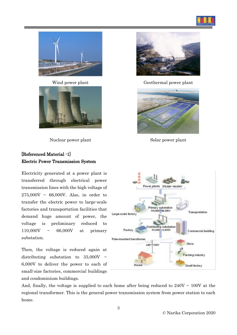





Nuclear power plant Solar power plant

# [Referenced Material -1] Electric Power Transmission System

Electricity generated at a power plant is transferred through electrical power transmission lines with the high voltage of  $275,000V \sim 66,000V$ . Also, in order to transfer the electric power to large-scale factories and transportation facilities that demand huge amount of power, the voltage is preliminary reduced to 110,000V ~ 66,000V at primary substation.

Then, the voltage is reduced again at distributing substation to  $33,000V \sim$ 6,000V to deliver the power to each of small-size factories, commercial buildings and condominium buildings.



Wind power plant Geothermal power plant





And, finally, the voltage is supplied to each home after being reduced to  $240V \sim 100V$  at the regional transformer. This is the general power transmission system from power station to each home.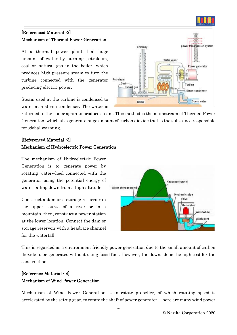

# [Referenced Material -2] Mechanism of Thermal Power Generation

At a thermal power plant, boil huge amount of water by burning petroleum, coal or natural gas in the boiler, which produces high pressure steam to turn the turbine connected with the generator producing electric power.

Steam used at the turbine is condensed to water at a steam condenser. The water is



returned to the boiler again to produce steam. This method is the mainstream of Thermal Power Generation, which also generate huge amount of carbon dioxide that is the substance responsible for global warming.

# [Referenced Material -3] Mechanism of Hydroelectric Power Generation

The mechanism of Hydroelectric Power Generation is to generate power by rotating waterwheel connected with the generator using the potential energy of water falling down from a high altitude.

Construct a dam or a storage reservoir in the upper course of a river or in a mountain, then, construct a power station at the lower location. Connect the dam or storage reservoir with a headrace channel for the waterfall.



This is regarded as a environment friendly power generation due to the small amount of carbon dioxide to be generated without using fossil fuel. However, the downside is the high cost for the construction.

# [Reference Material - 4] Mechanism of Wind Power Generation

Mechanism of Wind Power Generation is to rotate propeller, of which rotating speed is accelerated by the set-up gear, to rotate the shaft of power generator. There are many wind power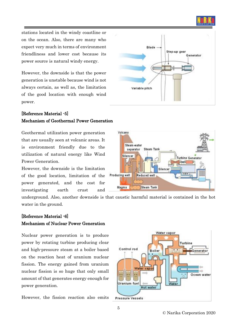

stations located in the windy coastline or on the ocean. Also, there are many who expect very much in terms of environment friendliness and lower cost because its power source is natural windy energy.

However, the downside is that the power generation is unstable because wind is not always certain, as well as, the limitation of the good location with enough wind power.

# [Reference Material -5] Mechanism of Geothermal Power Generation

Geothermal utilization power generation that are usually seen at volcanic areas. It is environment friendly due to the utilization of natural energy like Wind Power Generation.

However, the downside is the limitation of the good location, limitation of the power generated, and the cost for investigating earth crust and

**Blade** Step-up gear Generator Variable pitch



underground. Also, another downside is that caustic harmful material is contained in the hot water in the ground.

## [Reference Material -6] Mechanism of Nuclear Power Generation

Nuclear power generation is to produce power by rotating turbine producing clear and high-pressure steam at a boiler based on the reaction heat of uranium nuclear fission. The energy gained from uranium nuclear fission is so huge that only small amount of that generates energy enough for power generation.

However, the fission reaction also emits

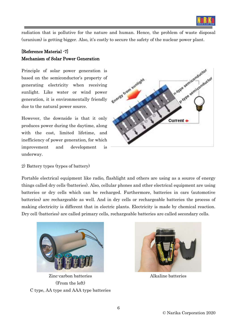

radiation that is pollutive for the nature and human. Hence, the problem of waste disposal (uranium) is getting bigger. Also, it's costly to secure the safety of the nuclear power plant.

# [Reference Material -7] Mechanism of Solar Power Generation

Principle of solar power generation is based on the semiconductor's property of generating electricity when receiving sunlight. Like water or wind power generation, it is environmentally friendly due to the natural power source.

However, the downside is that it only produces power during the daytime, along with the cost, limited lifetime, and inefficiency of power generation, for which improvement and development is underway.



2) Battery types (types of battery)

Portable electrical equipment like radio, flashlight and others are using as a source of energy things called dry cells (batteries). Also, cellular phones and other electrical equipment are using batteries or dry cells which can be recharged. Furthermore, batteries in cars (automotive batteries) are rechargeable as well. And in dry cells or rechargeable batteries the process of making electricity is different that in electric plants. Electricity is made by chemical reaction. Dry cell (batteries) are called primary cells, rechargeable batteries are called secondary cells.



Zinc-carbon batteries (From the left) C type, AA type and AAA type batteries



Alkaline batteries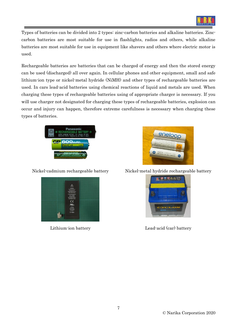

Types of batteries can be divided into 2 types: zinc-carbon batteries and alkaline batteries. Zinccarbon batteries are most suitable for use in flashlights, radios and others, while alkaline batteries are most suitable for use in equipment like shavers and others where electric motor is used.

Rechargeable batteries are batteries that can be charged of energy and then the stored energy can be used (discharged) all over again. In cellular phones and other equipment, small and safe lithium-ion type or nickel-metal hydride (NiMH) and other types of rechargeable batteries are used. In cars lead-acid batteries using chemical reactions of liquid and metals are used. When charging these types of rechargeable batteries using of appropriate charger is necessary. If you will use charger not designated for charging these types of rechargeable batteries, explosion can occur and injury can happen, therefore extreme carefulness is necessary when charging these types of batteries.







Nickel-cadmium rechargeable battery Nickel-metal hydride rechargeable battery



Lithium-ion battery Lead-acid (car) battery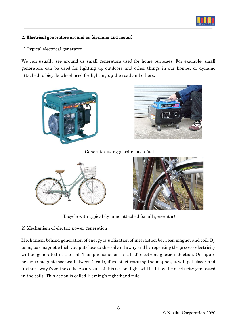

## 2. Electrical generators around us (dynamo and motor)

1) Typical electrical generator

We can usually see around us small generators used for home purposes. For example: small generators can be used for lighting up outdoors and other things in our homes, or dynamo attached to bicycle wheel used for lighting up the road and others.





Generator using gasoline as a fuel





Bicycle with typical dynamo attached (small generator)

2) Mechanism of electric power generation

Mechanism behind generation of energy is utilization of interaction between magnet and coil. By using bar magnet which you put close to the coil and away and by repeating the process electricity will be generated in the coil. This phenomenon is called: electromagnetic induction. On figure below is magnet inserted between 2 coils, if we start rotating the magnet, it will get closer and further away from the coils. As a result of this action, light will be lit by the electricity generated in the coils. This action is called Fleming's right-hand rule.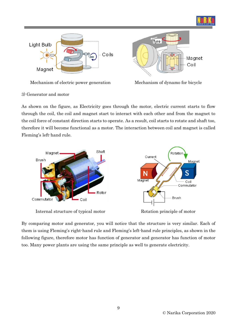



#### 3) Generator and motor

As shown on the figure, as Electricity goes through the motor, electric current starts to flow through the coil, the coil and magnet start to interact with each other and from the magnet to the coil force of constant direction starts to operate. As a result, coil starts to rotate and shaft too, therefore it will become functional as a motor. The interaction between coil and magnet is called Fleming's left-hand rule.



Internal structure of typical motor Rotation principle of motor

By comparing motor and generator, you will notice that the structure is very similar. Each of them is using Fleming's right-hand rule and Fleming's left-hand rule principles, as shown in the following figure, therefore motor has function of generator and generator has function of motor too. Many power plants are using the same principle as well to generate electricity.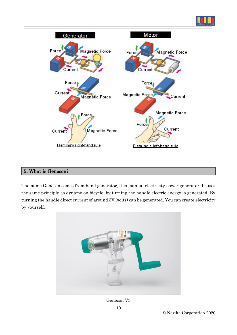



### 5. What is Genecon?

The name Genecon comes from hand generator, it is manual electricity power generator. It uses the same principle as dynamo on bicycle, by turning the handle electric energy is generated. By turning the handle direct current of around 3V (volts) can be generated. You can create electricity by yourself.



Genecon V3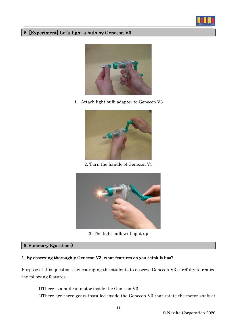

# 6. [Experiment] Let's light a bulb by Genecon V3



1.Attach light bulb adapter to Genecon V3



2. Turn the handle of Genecon V3



3. The light bulb will light up

#### 5. Summary (Questions)

#### 1. By observing thoroughly Genecon V3, what features do you think it has?

Purpose of this question is encouraging the students to observe Genecon V3 carefully to realize the following features.

1)There is a built-in motor inside the Genecon V3.

2)There are three gears installed inside the Genecon V3 that rotate the motor shaft at